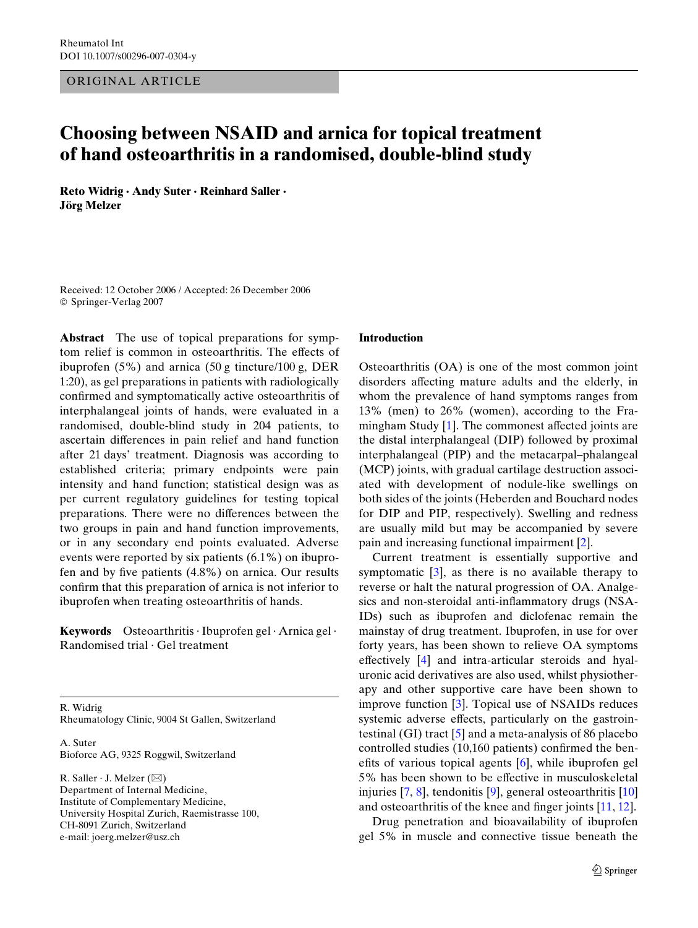ORIGINAL ARTICLE

# **Choosing between NSAID and arnica for topical treatment of hand osteoarthritis in a randomised, double-blind study**

**Reto Widrig · Andy Suter · Reinhard Saller · Jörg Melzer** 

Received: 12 October 2006 / Accepted: 26 December 2006 © Springer-Verlag 2007

**Abstract** The use of topical preparations for symptom relief is common in osteoarthritis. The effects of ibuprofen (5%) and arnica (50 g tincture/100 g, DER 1:20), as gel preparations in patients with radiologically confirmed and symptomatically active osteoarthritis of interphalangeal joints of hands, were evaluated in a randomised, double-blind study in 204 patients, to ascertain differences in pain relief and hand function after 21 days' treatment. Diagnosis was according to established criteria; primary endpoints were pain intensity and hand function; statistical design was as per current regulatory guidelines for testing topical preparations. There were no differences between the two groups in pain and hand function improvements, or in any secondary end points evaluated. Adverse events were reported by six patients (6.1%) on ibuprofen and by five patients  $(4.8\%)$  on arnica. Our results confirm that this preparation of arnica is not inferior to ibuprofen when treating osteoarthritis of hands.

**Keywords** Osteoarthritis · Ibuprofen gel · Arnica gel · Randomised trial · Gel treatment

R. Widrig Rheumatology Clinic, 9004 St Gallen, Switzerland

A. Suter Bioforce AG, 9325 Roggwil, Switzerland

R. Saller  $\cdot$  J. Melzer ( $\boxtimes$ ) Department of Internal Medicine, Institute of Complementary Medicine, University Hospital Zurich, Raemistrasse 100, CH-8091 Zurich, Switzerland e-mail: joerg.melzer@usz.ch

### **Introduction**

Osteoarthritis (OA) is one of the most common joint disorders affecting mature adults and the elderly, in whom the prevalence of hand symptoms ranges from 13% (men) to 26% (women), according to the Framingham Study  $[1]$  $[1]$ . The commonest affected joints are the distal interphalangeal (DIP) followed by proximal interphalangeal (PIP) and the metacarpal–phalangeal (MCP) joints, with gradual cartilage destruction associated with development of nodule-like swellings on both sides of the joints (Heberden and Bouchard nodes for DIP and PIP, respectively). Swelling and redness are usually mild but may be accompanied by severe pain and increasing functional impairment [\[2](#page-6-1)].

Current treatment is essentially supportive and symptomatic [[3\]](#page-6-2), as there is no available therapy to reverse or halt the natural progression of OA. Analgesics and non-steroidal anti-inflammatory drugs (NSA-IDs) such as ibuprofen and diclofenac remain the mainstay of drug treatment. Ibuprofen, in use for over forty years, has been shown to relieve OA symptoms effectively  $[4]$  $[4]$  $[4]$  and intra-articular steroids and hyaluronic acid derivatives are also used, whilst physiotherapy and other supportive care have been shown to improve function [[3\]](#page-6-2). Topical use of NSAIDs reduces systemic adverse effects, particularly on the gastrointestinal (GI) tract [\[5](#page-6-4)] and a meta-analysis of 86 placebo controlled studies  $(10,160 \text{ patients})$  confirmed the benefits of various topical agents  $[6]$  $[6]$  $[6]$ , while ibuprofen gel 5% has been shown to be effective in musculoskeletal injuries [[7,](#page-6-6) [8\]](#page-6-7), tendonitis [\[9](#page-6-8)], general osteoarthritis [\[10\]](#page-6-9) and osteoarthritis of the knee and finger joints  $[11, 12]$  $[11, 12]$  $[11, 12]$  $[11, 12]$ .

Drug penetration and bioavailability of ibuprofen gel 5% in muscle and connective tissue beneath the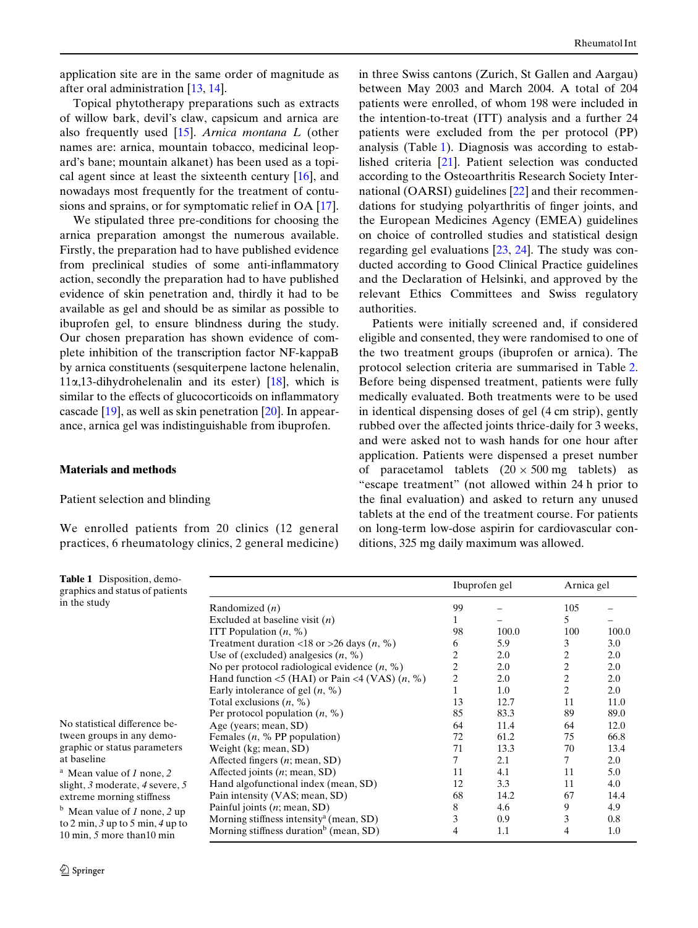application site are in the same order of magnitude as after oral administration [[13,](#page-6-12) [14\]](#page-6-13).

Topical phytotherapy preparations such as extracts of willow bark, devil's claw, capsicum and arnica are also frequently used [[15\]](#page-6-14). *Arnica montana L* (other names are: arnica, mountain tobacco, medicinal leopard's bane; mountain alkanet) has been used as a topical agent since at least the sixteenth century  $[16]$  $[16]$ , and nowadays most frequently for the treatment of contusions and sprains, or for symptomatic relief in OA [\[17](#page-6-16)].

We stipulated three pre-conditions for choosing the arnica preparation amongst the numerous available. Firstly, the preparation had to have published evidence from preclinical studies of some anti-inflammatory action, secondly the preparation had to have published evidence of skin penetration and, thirdly it had to be available as gel and should be as similar as possible to ibuprofen gel, to ensure blindness during the study. Our chosen preparation has shown evidence of complete inhibition of the transcription factor NF-kappaB by arnica constituents (sesquiterpene lactone helenalin,  $11\alpha,13$ -dihydrohelenalin and its ester) [[18\]](#page-6-17), which is similar to the effects of glucocorticoids on inflammatory cascade [[19\]](#page-6-18), as well as skin penetration [\[20](#page-6-19)]. In appearance, arnica gel was indistinguishable from ibuprofen.

# **Materials and methods**

### Patient selection and blinding

We enrolled patients from 20 clinics (12 general practices, 6 rheumatology clinics, 2 general medicine) Rheumatol Int

in three Swiss cantons (Zurich, St Gallen and Aargau) between May 2003 and March 2004. A total of 204 patients were enrolled, of whom 198 were included in the intention-to-treat (ITT) analysis and a further 24 patients were excluded from the per protocol (PP) analysis (Table [1\)](#page-1-0). Diagnosis was according to established criteria [[21\]](#page-6-20). Patient selection was conducted according to the Osteoarthritis Research Society International (OARSI) guidelines [[22\]](#page-6-21) and their recommendations for studying polyarthritis of finger joints, and the European Medicines Agency (EMEA) guidelines on choice of controlled studies and statistical design regarding gel evaluations  $[23, 24]$  $[23, 24]$  $[23, 24]$  $[23, 24]$ . The study was conducted according to Good Clinical Practice guidelines and the Declaration of Helsinki, and approved by the relevant Ethics Committees and Swiss regulatory authorities.

Patients were initially screened and, if considered eligible and consented, they were randomised to one of the two treatment groups (ibuprofen or arnica). The protocol selection criteria are summarised in Table [2.](#page-2-0) Before being dispensed treatment, patients were fully medically evaluated. Both treatments were to be used in identical dispensing doses of gel (4 cm strip), gently rubbed over the affected joints thrice-daily for 3 weeks, and were asked not to wash hands for one hour after application. Patients were dispensed a preset number of paracetamol tablets  $(20 \times 500 \text{ mg}$  tablets) as "escape treatment" (not allowed within 24 h prior to the final evaluation) and asked to return any unused tablets at the end of the treatment course. For patients on long-term low-dose aspirin for cardiovascular conditions, 325 mg daily maximum was allowed.

<span id="page-1-0"></span>

| <b>Table 1</b> Disposition, demo-<br>graphics and status of patients |                                                     |    | Ibuprofen gel | Arnica gel |       |
|----------------------------------------------------------------------|-----------------------------------------------------|----|---------------|------------|-------|
| in the study                                                         | Randomized $(n)$                                    | 99 |               | 105        |       |
|                                                                      | Excluded at baseline visit $(n)$                    |    |               | 5.         |       |
|                                                                      | ITT Population $(n, %)$                             | 98 | 100.0         | 100        | 100.0 |
|                                                                      | Treatment duration <18 or >26 days $(n, %)$         | 6  | 5.9           | 3          | 3.0   |
|                                                                      | Use of (excluded) analgesics $(n, %)$               |    | 2.0           | 2          | 2.0   |
|                                                                      | No per protocol radiological evidence $(n, %)$      |    | 2.0           | 2          | 2.0   |
|                                                                      | Hand function <5 (HAI) or Pain <4 (VAS) $(n, %)$    | 2  | 2.0           | 2          | 2.0   |
|                                                                      | Early intolerance of gel $(n, %)$                   |    | 1.0           | 2          | 2.0   |
|                                                                      | Total exclusions $(n, %)$                           | 13 | 12.7          | 11         | 11.0  |
|                                                                      | Per protocol population $(n, %)$                    | 85 | 83.3          | 89         | 89.0  |
| No statistical difference be-                                        | Age (years; mean, SD)                               | 64 | 11.4          | 64         | 12.0  |
| tween groups in any demo-                                            | Females $(n, % PP population)$                      | 72 | 61.2          | 75         | 66.8  |
| graphic or status parameters                                         | Weight (kg; mean, SD)                               | 71 | 13.3          | 70         | 13.4  |
| at baseline                                                          | Affected fingers $(n; \text{mean}, SD)$             |    | 2.1           | 7          | 2.0   |
| <sup>a</sup> Mean value of 1 none, 2                                 | Affected joints $(n; \text{mean}, SD)$              | 11 | 4.1           | 11         | 5.0   |
| slight, 3 moderate, 4 severe, 5                                      | Hand algofunctional index (mean, SD)                | 12 | 3.3           | 11         | 4.0   |
| extreme morning stiffness                                            | Pain intensity (VAS; mean, SD)                      | 68 | 14.2          | 67         | 14.4  |
| $b$ Mean value of 1 none, 2 up                                       | Painful joints $(n; \text{mean}, SD)$               | 8  | 4.6           | 9          | 4.9   |
| to 2 min, 3 up to 5 min, 4 up to                                     | Morning stiffness intensity <sup>a</sup> (mean, SD) | 3  | 0.9           | 3          | 0.8   |
| 10 min, 5 more than 10 min                                           | Morning stiffness duration <sup>b</sup> (mean, SD)  | 4  | 1.1           | 4          | 1.0   |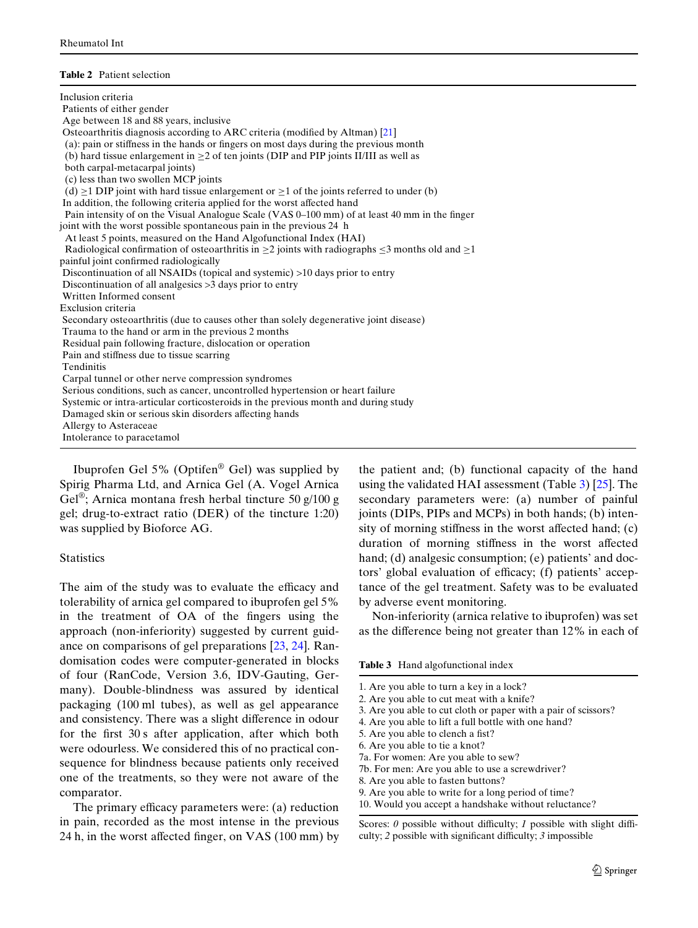#### <span id="page-2-0"></span>**Table 2** Patient selection

| Inclusion criteria                                                                                               |
|------------------------------------------------------------------------------------------------------------------|
| Patients of either gender                                                                                        |
| Age between 18 and 88 years, inclusive                                                                           |
| Osteoarthritis diagnosis according to ARC criteria (modified by Altman) [21]                                     |
| (a): pain or stiffness in the hands or fingers on most days during the previous month                            |
| (b) hard tissue enlargement in $\geq$ 2 of ten joints (DIP and PIP joints II/III as well as                      |
| both carpal-metacarpal joints)                                                                                   |
| (c) less than two swollen MCP joints                                                                             |
| (d) $\geq$ 1 DIP joint with hard tissue enlargement or $\geq$ 1 of the joints referred to under (b)              |
| In addition, the following criteria applied for the worst affected hand                                          |
| Pain intensity of on the Visual Analogue Scale (VAS 0-100 mm) of at least 40 mm in the finger                    |
| joint with the worst possible spontaneous pain in the previous 24 h                                              |
| At least 5 points, measured on the Hand Algofunctional Index (HAI)                                               |
| Radiological confirmation of osteoarthritis in $\geq 2$ joints with radiographs $\leq 3$ months old and $\geq 1$ |
| painful joint confirmed radiologically                                                                           |
| Discontinuation of all NSAIDs (topical and systemic) >10 days prior to entry                                     |
| Discontinuation of all analgesics >3 days prior to entry                                                         |
| Written Informed consent                                                                                         |
| Exclusion criteria                                                                                               |
| Secondary osteoarthritis (due to causes other than solely degenerative joint disease)                            |
| Trauma to the hand or arm in the previous 2 months                                                               |
| Residual pain following fracture, dislocation or operation                                                       |
| Pain and stiffness due to tissue scarring                                                                        |
| Tendinitis                                                                                                       |
| Carpal tunnel or other nerve compression syndromes                                                               |
| Serious conditions, such as cancer, uncontrolled hypertension or heart failure                                   |
| Systemic or intra-articular corticosteroids in the previous month and during study                               |
| Damaged skin or serious skin disorders affecting hands                                                           |
| Allergy to Asteraceae                                                                                            |
| Intolerance to paracetamol                                                                                       |

Ibuprofen Gel 5% (Optifen® Gel) was supplied by Spirig Pharma Ltd, and Arnica Gel (A. Vogel Arnica Gel<sup>®</sup>; Arnica montana fresh herbal tincture 50 g/100 g gel; drug-to-extract ratio (DER) of the tincture 1:20) was supplied by Bioforce AG.

# **Statistics**

The aim of the study was to evaluate the efficacy and tolerability of arnica gel compared to ibuprofen gel 5% in the treatment of OA of the fingers using the approach (non-inferiority) suggested by current guidance on comparisons of gel preparations [[23](#page-6-22), [24\]](#page-6-23). Randomisation codes were computer-generated in blocks of four (RanCode, Version 3.6, IDV-Gauting, Germany). Double-blindness was assured by identical packaging (100 ml tubes), as well as gel appearance and consistency. There was a slight difference in odour for the first 30 s after application, after which both were odourless. We considered this of no practical consequence for blindness because patients only received one of the treatments, so they were not aware of the comparator.

The primary efficacy parameters were: (a) reduction in pain, recorded as the most intense in the previous 24 h, in the worst affected finger, on VAS  $(100 \text{ mm})$  by the patient and; (b) functional capacity of the hand using the validated HAI assessment (Table [3](#page-2-1)) [[25\]](#page-6-24). The secondary parameters were: (a) number of painful joints (DIPs, PIPs and MCPs) in both hands; (b) intensity of morning stiffness in the worst affected hand;  $(c)$ duration of morning stiffness in the worst affected hand; (d) analgesic consumption; (e) patients' and doctors' global evaluation of efficacy; (f) patients' acceptance of the gel treatment. Safety was to be evaluated by adverse event monitoring.

Non-inferiority (arnica relative to ibuprofen) was set as the difference being not greater than 12% in each of

<span id="page-2-1"></span>**Table 3** Hand algofunctional index

- 7a. For women: Are you able to sew?
- 7b. For men: Are you able to use a screwdriver?
- 8. Are you able to fasten buttons?
- 9. Are you able to write for a long period of time?
- 10. Would you accept a handshake without reluctance?

Scores:  $\theta$  possible without difficulty;  $I$  possible with slight difficulty;  $2$  possible with significant difficulty;  $3$  impossible

<sup>1.</sup> Are you able to turn a key in a lock?

<sup>2.</sup> Are you able to cut meat with a knife?

<sup>3.</sup> Are you able to cut cloth or paper with a pair of scissors?

<sup>4.</sup> Are you able to lift a full bottle with one hand?

<sup>5.</sup> Are you able to clench a fist?

<sup>6.</sup> Are you able to tie a knot?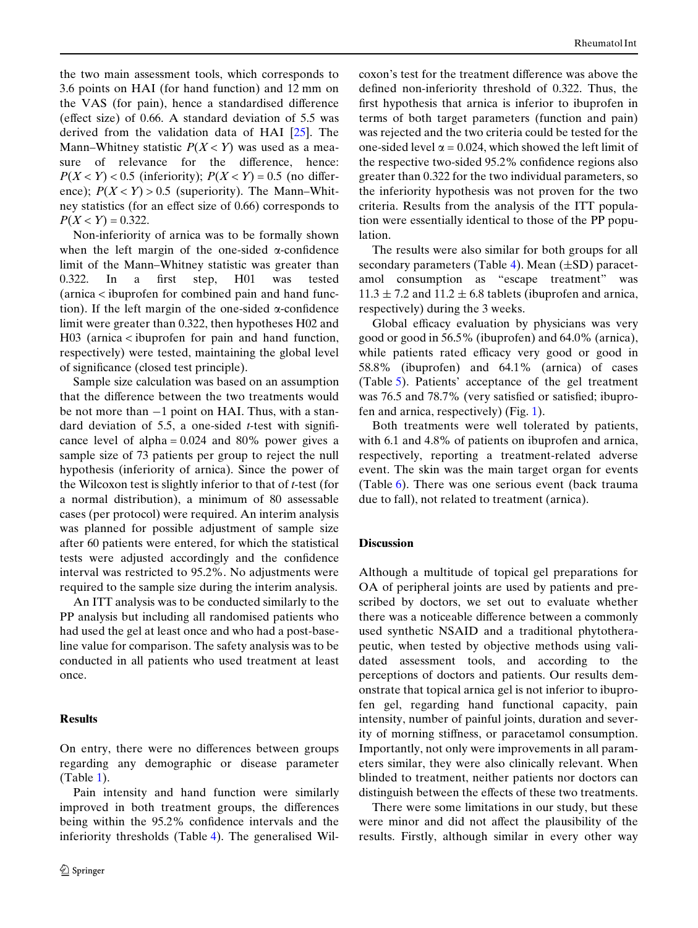the two main assessment tools, which corresponds to 3.6 points on HAI (for hand function) and 12 mm on the VAS (for pain), hence a standardised difference (effect size) of 0.66. A standard deviation of  $5.5$  was derived from the validation data of HAI [[25\]](#page-6-24). The Mann–Whitney statistic  $P(X \le Y)$  was used as a measure of relevance for the difference, hence:  $P(X \le Y) < 0.5$  (inferiority);  $P(X \le Y) = 0.5$  (no difference);  $P(X \le Y) > 0.5$  (superiority). The Mann–Whitney statistics (for an effect size of  $0.66$ ) corresponds to  $P(X < Y) = 0.322$ .

Non-inferiority of arnica was to be formally shown when the left margin of the one-sided  $\alpha$ -confidence limit of the Mann–Whitney statistic was greater than 0.322. In a first step, H01 was tested (arnica < ibuprofen for combined pain and hand function). If the left margin of the one-sided  $\alpha$ -confidence limit were greater than 0.322, then hypotheses H02 and H03 (arnica < ibuprofen for pain and hand function, respectively) were tested, maintaining the global level of significance (closed test principle).

Sample size calculation was based on an assumption that the difference between the two treatments would be not more than  $-1$  point on HAI. Thus, with a standard deviation of 5.5, a one-sided  $t$ -test with significance level of alpha =  $0.024$  and 80% power gives a sample size of 73 patients per group to reject the null hypothesis (inferiority of arnica). Since the power of the Wilcoxon test is slightly inferior to that of *t*-test (for a normal distribution), a minimum of 80 assessable cases (per protocol) were required. An interim analysis was planned for possible adjustment of sample size after 60 patients were entered, for which the statistical tests were adjusted accordingly and the confidence interval was restricted to 95.2%. No adjustments were required to the sample size during the interim analysis.

An ITT analysis was to be conducted similarly to the PP analysis but including all randomised patients who had used the gel at least once and who had a post-baseline value for comparison. The safety analysis was to be conducted in all patients who used treatment at least once.

# **Results**

On entry, there were no differences between groups regarding any demographic or disease parameter (Table [1](#page-1-0)).

Pain intensity and hand function were similarly improved in both treatment groups, the differences being within the 95.2% confidence intervals and the inferiority thresholds (Table [4\)](#page-4-0). The generalised Wilcoxon's test for the treatment difference was above the defined non-inferiority threshold of  $0.322$ . Thus, the first hypothesis that arnica is inferior to ibuprofen in terms of both target parameters (function and pain) was rejected and the two criteria could be tested for the one-sided level  $\alpha = 0.024$ , which showed the left limit of the respective two-sided  $95.2\%$  confidence regions also greater than 0.322 for the two individual parameters, so the inferiority hypothesis was not proven for the two criteria. Results from the analysis of the ITT population were essentially identical to those of the PP population.

The results were also similar for both groups for all secondary parameters (Table [4](#page-4-0)). Mean  $(\pm SD)$  paracetamol consumption as "escape treatment" was  $11.3 \pm 7.2$  and  $11.2 \pm 6.8$  tablets (ibuprofen and arnica, respectively) during the 3 weeks.

Global efficacy evaluation by physicians was very good or good in 56.5% (ibuprofen) and 64.0% (arnica), while patients rated efficacy very good or good in 58.8% (ibuprofen) and 64.1% (arnica) of cases (Table [5\)](#page-5-0). Patients' acceptance of the gel treatment was 76.5 and 78.7% (very satisfied or satisfied; ibuprofen and arnica, respectively) (Fig. [1\)](#page-5-1).

Both treatments were well tolerated by patients, with 6.1 and 4.8% of patients on ibuprofen and arnica, respectively, reporting a treatment-related adverse event. The skin was the main target organ for events (Table [6\)](#page-5-2). There was one serious event (back trauma due to fall), not related to treatment (arnica).

# **Discussion**

Although a multitude of topical gel preparations for OA of peripheral joints are used by patients and prescribed by doctors, we set out to evaluate whether there was a noticeable difference between a commonly used synthetic NSAID and a traditional phytotherapeutic, when tested by objective methods using validated assessment tools, and according to the perceptions of doctors and patients. Our results demonstrate that topical arnica gel is not inferior to ibuprofen gel, regarding hand functional capacity, pain intensity, number of painful joints, duration and severity of morning stiffness, or paracetamol consumption. Importantly, not only were improvements in all parameters similar, they were also clinically relevant. When blinded to treatment, neither patients nor doctors can distinguish between the effects of these two treatments.

There were some limitations in our study, but these were minor and did not affect the plausibility of the results. Firstly, although similar in every other way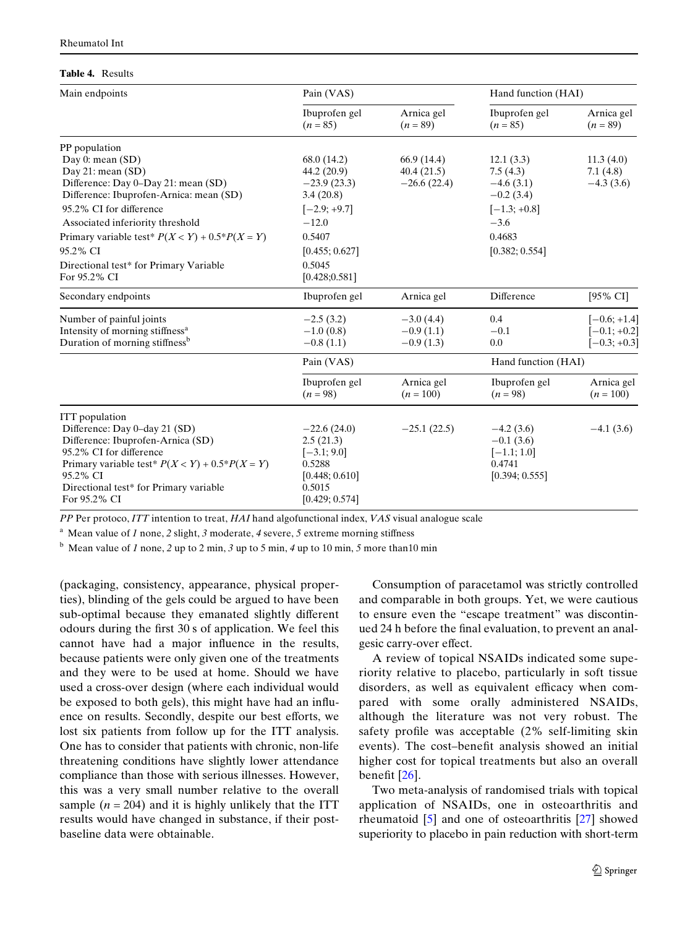#### <span id="page-4-0"></span>**Table 4.** Results

| Main endpoints                                                                                                                                                                                                                                                                                                          | Pain (VAS)                                                                                                                                   |                                           | Hand function (HAI)                                                                                         |                                                    |  |
|-------------------------------------------------------------------------------------------------------------------------------------------------------------------------------------------------------------------------------------------------------------------------------------------------------------------------|----------------------------------------------------------------------------------------------------------------------------------------------|-------------------------------------------|-------------------------------------------------------------------------------------------------------------|----------------------------------------------------|--|
|                                                                                                                                                                                                                                                                                                                         | Ibuprofen gel<br>$(n = 85)$                                                                                                                  | Arnica gel<br>$(n = 89)$                  | Ibuprofen gel<br>$(n = 85)$                                                                                 | Arnica gel<br>$(n = 89)$                           |  |
| PP population                                                                                                                                                                                                                                                                                                           |                                                                                                                                              |                                           |                                                                                                             |                                                    |  |
| Day $0:$ mean $(SD)$<br>Day 21: mean $(SD)$<br>Difference: Day 0-Day 21: mean (SD)<br>Difference: Ibuprofen-Arnica: mean (SD)<br>95.2% CI for difference<br>Associated inferiority threshold<br>Primary variable test * $P(X < Y) + 0.5*P(X = Y)$<br>95.2% CI<br>Directional test* for Primary Variable<br>For 95.2% CI | 68.0 (14.2)<br>44.2(20.9)<br>$-23.9(23.3)$<br>3.4(20.8)<br>$[-2.9; +9.7]$<br>$-12.0$<br>0.5407<br>[0.455; 0.627]<br>0.5045<br>[0.428; 0.581] | 66.9(14.4)<br>40.4(21.5)<br>$-26.6(22.4)$ | 12.1(3.3)<br>7.5(4.3)<br>$-4.6(3.1)$<br>$-0.2(3.4)$<br>$[-1.3; +0.8]$<br>$-3.6$<br>0.4683<br>[0.382; 0.554] | 11.3(4.0)<br>7.1(4.8)<br>$-4.3(3.6)$               |  |
| Secondary endpoints                                                                                                                                                                                                                                                                                                     | Ibuprofen gel                                                                                                                                | Arnica gel                                | Difference                                                                                                  | [ $95\%$ CI]                                       |  |
| Number of painful joints<br>Intensity of morning stiffness <sup>a</sup><br>Duration of morning stiffness <sup>b</sup>                                                                                                                                                                                                   | $-2.5(3.2)$<br>$-1.0(0.8)$<br>$-0.8(1.1)$                                                                                                    | $-3.0(4.4)$<br>$-0.9(1.1)$<br>$-0.9(1.3)$ | 0.4<br>$-0.1$<br>0.0                                                                                        | $[-0.6; +1.4]$<br>$[-0.1; +0.2]$<br>$[-0.3; +0.3]$ |  |
|                                                                                                                                                                                                                                                                                                                         | Pain (VAS)<br>Ibuprofen gel<br>$(n = 98)$                                                                                                    | Arnica gel<br>$(n = 100)$                 | Hand function (HAI)<br>Ibuprofen gel<br>$(n = 98)$                                                          | Arnica gel<br>$(n = 100)$                          |  |
| <b>ITT</b> population<br>Difference: Day 0-day 21 (SD)<br>Difference: Ibuprofen-Arnica (SD)<br>95.2% CI for difference<br>Primary variable test * $P(X < Y) + 0.5*P(X = Y)$<br>95.2% CI<br>Directional test* for Primary variable<br>For 95.2% CI                                                                       | $-22.6(24.0)$<br>2.5(21.3)<br>$[-3.1; 9.0]$<br>0.5288<br>[0.448; 0.610]<br>0.5015<br>[0.429; 0.574]                                          | $-25.1(22.5)$                             | $-4.2(3.6)$<br>$-0.1(3.6)$<br>$[-1.1; 1.0]$<br>0.4741<br>[0.394; 0.555]                                     | $-4.1(3.6)$                                        |  |

*PP* Per protoco, *ITT* intention to treat, *HAI* hand algofunctional index, *VAS* visual analogue scale

<sup>a</sup> Mean value of *1* none, *2* slight, *3* moderate, *4* severe, *5* extreme morning stiffness

<sup>b</sup> Mean value of *1* none, 2 up to 2 min, 3 up to 5 min, 4 up to 10 min, 5 more than 10 min

(packaging, consistency, appearance, physical properties), blinding of the gels could be argued to have been sub-optimal because they emanated slightly different odours during the first 30 s of application. We feel this cannot have had a major influence in the results, because patients were only given one of the treatments and they were to be used at home. Should we have used a cross-over design (where each individual would be exposed to both gels), this might have had an influence on results. Secondly, despite our best efforts, we lost six patients from follow up for the ITT analysis. One has to consider that patients with chronic, non-life threatening conditions have slightly lower attendance compliance than those with serious illnesses. However, this was a very small number relative to the overall sample  $(n = 204)$  and it is highly unlikely that the ITT results would have changed in substance, if their postbaseline data were obtainable.

Consumption of paracetamol was strictly controlled and comparable in both groups. Yet, we were cautious to ensure even the "escape treatment" was discontinued 24 h before the final evaluation, to prevent an analgesic carry-over effect.

A review of topical NSAIDs indicated some superiority relative to placebo, particularly in soft tissue disorders, as well as equivalent efficacy when compared with some orally administered NSAIDs, although the literature was not very robust. The safety profile was acceptable  $(2\% \text{ self-limiting skin})$ events). The cost-benefit analysis showed an initial higher cost for topical treatments but also an overall benefit  $[26]$  $[26]$  $[26]$ .

Two meta-analysis of randomised trials with topical application of NSAIDs, one in osteoarthritis and rheumatoid [\[5](#page-6-4)] and one of osteoarthritis [\[27](#page-6-26)] showed superiority to placebo in pain reduction with short-term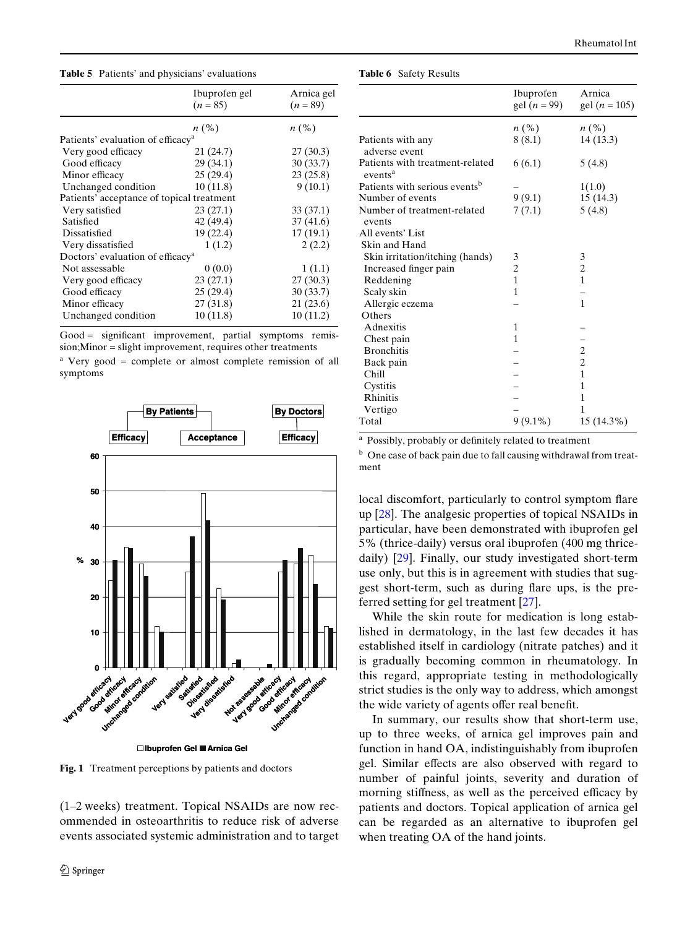<span id="page-5-0"></span>**Table 5** Patients' and physicians' evaluations

|                                              | Ibuprofen gel                                 | Arnica gel         |  |  |  |
|----------------------------------------------|-----------------------------------------------|--------------------|--|--|--|
|                                              | $(n = 85)$                                    | $(n = 89)$         |  |  |  |
|                                              |                                               |                    |  |  |  |
|                                              | $n\left(\%\right)$                            | $n\left(\%\right)$ |  |  |  |
|                                              | Patients' evaluation of efficacy <sup>a</sup> |                    |  |  |  |
| Very good efficacy                           | 21 (24.7)                                     | 27(30.3)           |  |  |  |
| Good efficacy                                | 29 (34.1)                                     | 30(33.7)           |  |  |  |
| Minor efficacy                               | 25(29.4)                                      | 23(25.8)           |  |  |  |
| Unchanged condition                          | 10(11.8)                                      | 9(10.1)            |  |  |  |
| Patients' acceptance of topical treatment    |                                               |                    |  |  |  |
| Very satisfied                               | 23(27.1)                                      | 33(37.1)           |  |  |  |
| Satisfied                                    | 42 (49.4)                                     | 37(41.6)           |  |  |  |
| Dissatisfied                                 | 19 (22.4)                                     | 17 (19.1)          |  |  |  |
| Very dissatisfied                            | 1(1.2)                                        | 2(2.2)             |  |  |  |
| Doctors' evaluation of efficacy <sup>a</sup> |                                               |                    |  |  |  |
| Not assessable                               | 0(0.0)                                        | 1(1.1)             |  |  |  |
| Very good efficacy                           | 23(27.1)                                      | 27(30.3)           |  |  |  |
| Good efficacy                                | 25 (29.4)                                     | 30(33.7)           |  |  |  |
| Minor efficacy                               | 27(31.8)                                      | 21(23.6)           |  |  |  |
| Unchanged condition                          | 10(11.8)                                      | 10(11.2)           |  |  |  |
|                                              |                                               |                    |  |  |  |

 $Good =$  significant improvement, partial symptoms remission;Minor = slight improvement, requires other treatments

<sup>a</sup> Very good = complete or almost complete remission of all symptoms



**Ibuprofen Gel Arnica Gel**

<span id="page-5-1"></span>**Fig. 1** Treatment perceptions by patients and doctors

(1–2 weeks) treatment. Topical NSAIDs are now recommended in osteoarthritis to reduce risk of adverse events associated systemic administration and to target

<span id="page-5-2"></span>

| <b>Table 6</b> Safety Results |  |  |
|-------------------------------|--|--|
|-------------------------------|--|--|

|                                                        | Ibuprofen<br>gel $(n = 99)$ | Arnica<br>gel ( <i>n</i> = 105) |
|--------------------------------------------------------|-----------------------------|---------------------------------|
|                                                        |                             |                                 |
|                                                        | $n\left(\%\right)$          | $n\left(\%\right)$              |
| Patients with any<br>adverse event                     | 8(8.1)                      | 14 (13.3)                       |
| Patients with treatment-related<br>events <sup>a</sup> | 6(6.1)                      | 5(4.8)                          |
| Patients with serious events <sup>b</sup>              |                             | 1(1.0)                          |
| Number of events                                       | 9(9.1)                      | 15(14.3)                        |
| Number of treatment-related<br>events                  | 7(7.1)                      | 5(4.8)                          |
| All events' List                                       |                             |                                 |
| Skin and Hand                                          |                             |                                 |
| Skin irritation/itching (hands)                        | 3                           | 3                               |
| Increased finger pain                                  | $\overline{c}$              | $\overline{c}$                  |
| Reddening                                              | $\mathbf{1}$                | $\mathbf{1}$                    |
| Scaly skin                                             | 1                           |                                 |
| Allergic eczema                                        |                             | $\mathbf{1}$                    |
| Others                                                 |                             |                                 |
| Adnexitis                                              | 1                           |                                 |
| Chest pain                                             | $\mathbf{1}$                |                                 |
| <b>Bronchitis</b>                                      |                             | $\overline{c}$                  |
| Back pain                                              |                             | $\overline{c}$                  |
| Chill                                                  |                             | $\mathbf{1}$                    |
| Cystitis                                               |                             | 1                               |
| Rhinitis                                               |                             | $\mathbf{1}$                    |
| Vertigo                                                |                             | 1                               |
| Total                                                  | $9(9.1\%)$                  | 15 (14.3%)                      |

<sup>a</sup> Possibly, probably or definitely related to treatment

<sup>b</sup> One case of back pain due to fall causing withdrawal from treatment

local discomfort, particularly to control symptom flare up [[28](#page-6-27)]. The analgesic properties of topical NSAIDs in particular, have been demonstrated with ibuprofen gel 5% (thrice-daily) versus oral ibuprofen (400 mg thricedaily) [[29\]](#page-6-28). Finally, our study investigated short-term use only, but this is in agreement with studies that suggest short-term, such as during flare ups, is the preferred setting for gel treatment [[27\]](#page-6-26).

While the skin route for medication is long established in dermatology, in the last few decades it has established itself in cardiology (nitrate patches) and it is gradually becoming common in rheumatology. In this regard, appropriate testing in methodologically strict studies is the only way to address, which amongst the wide variety of agents offer real benefit.

In summary, our results show that short-term use, up to three weeks, of arnica gel improves pain and function in hand OA, indistinguishably from ibuprofen gel. Similar effects are also observed with regard to number of painful joints, severity and duration of morning stiffness, as well as the perceived efficacy by patients and doctors. Topical application of arnica gel can be regarded as an alternative to ibuprofen gel when treating OA of the hand joints.